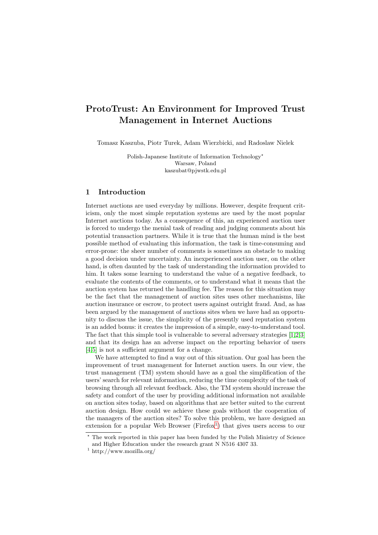# ProtoTrust: An Environment for Improved Trust Management in Internet Auctions

Tomasz Kaszuba, Piotr Turek, Adam Wierzbicki, and Radoslaw Nielek

Polish-Japanese Institute of Information Technology<sup>\*</sup> Warsaw, Poland kaszubat@pjwstk.edu.pl

## 1 Introduction

Internet auctions are used everyday by millions. However, despite frequent criticism, only the most simple reputation systems are used by the most popular Internet auctions today. As a consequence of this, an experienced auction user is forced to undergo the menial task of reading and judging comments about his potential transaction partners. While it is true that the human mind is the best possible method of evaluating this information, the task is time-consuming and error-prone: the sheer number of comments is sometimes an obstacle to making a good decision under uncertainty. An inexperienced auction user, on the other hand, is often daunted by the task of understanding the information provided to him. It takes some learning to understand the value of a negative feedback, to evaluate the contents of the comments, or to understand what it means that the auction system has returned the handling fee. The reason for this situation may be the fact that the management of auction sites uses other mechanisms, like auction insurance or escrow, to protect users against outright fraud. And, as has been argued by the management of auctions sites when we have had an opportunity to discuss the issue, the simplicity of the presently used reputation system is an added bonus: it creates the impression of a simple, easy-to-understand tool. The fact that this simple tool is vulnerable to several adversary strategies [\[1](#page-12-0)[,2,](#page-12-1)[3\]](#page-12-2) and that its design has an adverse impact on the reporting behavior of users [\[4,](#page-12-3)[5\]](#page-12-4) is not a sufficient argument for a change.

We have attempted to find a way out of this situation. Our goal has been the improvement of trust management for Internet auction users. In our view, the trust management (TM) system should have as a goal the simplification of the users' search for relevant information, reducing the time complexity of the task of browsing through all relevant feedback. Also, the TM system should increase the safety and comfort of the user by providing additional information not available on auction sites today, based on algorithms that are better suited to the current auction design. How could we achieve these goals without the cooperation of the managers of the auction sites? To solve this problem, we have designed an extension for a popular Web Browser (Firefox<sup>[1](#page-0-0)</sup>) that gives users access to our

<sup>⋆</sup> The work reported in this paper has been funded by the Polish Ministry of Science and Higher Education under the research grant N N516 4307 33.

<span id="page-0-0"></span> $^{\rm 1}$ http://www.mozilla.org/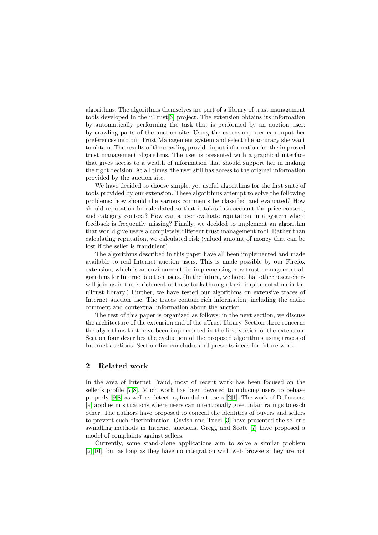algorithms. The algorithms themselves are part of a library of trust management tools developed in the uTrust[\[6\]](#page-12-5) project. The extension obtains its information by automatically performing the task that is performed by an auction user: by crawling parts of the auction site. Using the extension, user can input her preferences into our Trust Management system and select the accuracy she want to obtain. The results of the crawling provide input information for the improved trust management algorithms. The user is presented with a graphical interface that gives access to a wealth of information that should support her in making the right decision. At all times, the user still has access to the original information provided by the auction site.

We have decided to choose simple, yet useful algorithms for the first suite of tools provided by our extension. These algorithms attempt to solve the following problems: how should the various comments be classified and evaluated? How should reputation be calculated so that it takes into account the price context, and category context? How can a user evaluate reputation in a system where feedback is frequently missing? Finally, we decided to implement an algorithm that would give users a completely different trust management tool. Rather than calculating reputation, we calculated risk (valued amount of money that can be lost if the seller is fraudulent).

The algorithms described in this paper have all been implemented and made available to real Internet auction users. This is made possible by our Firefox extension, which is an environment for implementing new trust management algorithms for Internet auction users. (In the future, we hope that other researchers will join us in the enrichment of these tools through their implementation in the uTrust library.) Further, we have tested our algorithms on extensive traces of Internet auction use. The traces contain rich information, including the entire comment and contextual information about the auction.

The rest of this paper is organized as follows: in the next section, we discuss the architecture of the extension and of the uTrust library. Section three concerns the algorithms that have been implemented in the first version of the extension. Section four describes the evaluation of the proposed algorithms using traces of Internet auctions. Section five concludes and presents ideas for future work.

# 2 Related work

In the area of Internet Fraud, most of recent work has been focused on the seller's profile [\[7](#page-12-6)[,8\]](#page-12-7). Much work has been devoted to inducing users to behave properly [\[9](#page-12-8)[,8\]](#page-12-7) as well as detecting fraudulent users [\[2,](#page-12-1)[1\]](#page-12-0). The work of Dellarocas [\[9\]](#page-12-8) applies in situations where users can intentionally give unfair ratings to each other. The authors have proposed to conceal the identities of buyers and sellers to prevent such discrimination. Gavish and Tucci [\[3\]](#page-12-2) have presented the seller's swindling methods in Internet auctions. Gregg and Scott [\[7\]](#page-12-6) have proposed a model of complaints against sellers.

Currently, some stand-alone applications aim to solve a similar problem [\[2\]](#page-12-1)[\[10\]](#page-12-9), but as long as they have no integration with web browsers they are not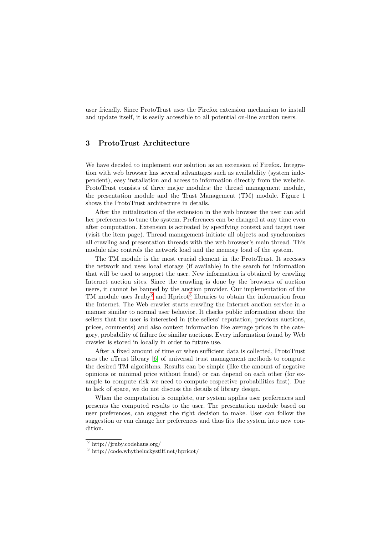user friendly. Since ProtoTrust uses the Firefox extension mechanism to install and update itself, it is easily accessible to all potential on-line auction users.

# 3 ProtoTrust Architecture

We have decided to implement our solution as an extension of Firefox. Integration with web browser has several advantages such as availability (system independent), easy installation and access to information directly from the website. ProtoTrust consists of three major modules: the thread management module, the presentation module and the Trust Management (TM) module. Figure 1 shows the ProtoTrust architecture in details.

After the initialization of the extension in the web browser the user can add her preferences to tune the system. Preferences can be changed at any time even after computation. Extension is activated by specifying context and target user (visit the item page). Thread management initiate all objects and synchronizes all crawling and presentation threads with the web browser's main thread. This module also controls the network load and the memory load of the system.

The TM module is the most crucial element in the ProtoTrust. It accesses the network and uses local storage (if available) in the search for information that will be used to support the user. New information is obtained by crawling Internet auction sites. Since the crawling is done by the browsers of auction users, it cannot be banned by the auction provider. Our implementation of the TM module uses Jruby<sup>[2](#page-2-0)</sup> and Hpricot<sup>[3](#page-2-1)</sup> libraries to obtain the information from the Internet. The Web crawler starts crawling the Internet auction service in a manner similar to normal user behavior. It checks public information about the sellers that the user is interested in (the sellers' reputation, previous auctions, prices, comments) and also context information like average prices in the category, probability of failure for similar auctions. Every information found by Web crawler is stored in locally in order to future use.

After a fixed amount of time or when sufficient data is collected, ProtoTrust uses the uTrust library [\[6\]](#page-12-5) of universal trust management methods to compute the desired TM algorithms. Results can be simple (like the amount of negative opinions or minimal price without fraud) or can depend on each other (for example to compute risk we need to compute respective probabilities first). Due to lack of space, we do not discuss the details of library design.

When the computation is complete, our system applies user preferences and presents the computed results to the user. The presentation module based on user preferences, can suggest the right decision to make. User can follow the suggestion or can change her preferences and thus fits the system into new condition.

<sup>2</sup> http://jruby.codehaus.org/

<span id="page-2-1"></span><span id="page-2-0"></span><sup>3</sup> http://code.whytheluckystiff.net/hpricot/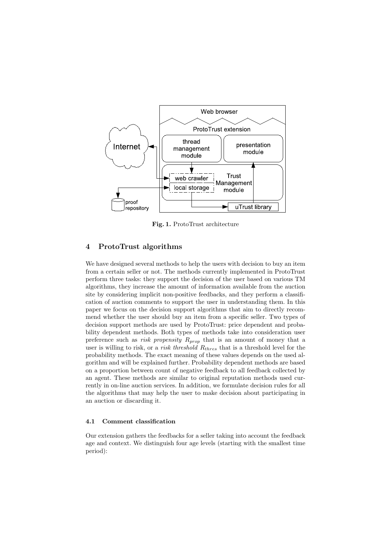

Fig. 1. ProtoTrust architecture

# 4 ProtoTrust algorithms

We have designed several methods to help the users with decision to buy an item from a certain seller or not. The methods currently implemented in ProtoTrust perform three tasks: they support the decision of the user based on various TM algorithms, they increase the amount of information available from the auction site by considering implicit non-positive feedbacks, and they perform a classification of auction comments to support the user in understanding them. In this paper we focus on the decision support algorithms that aim to directly recommend whether the user should buy an item from a specific seller. Two types of decision support methods are used by ProtoTrust: price dependent and probability dependent methods. Both types of methods take into consideration user preference such as risk propensity  $R_{prop}$  that is an amount of money that a user is willing to risk, or a risk threshold  $R_{thres}$  that is a threshold level for the probability methods. The exact meaning of these values depends on the used algorithm and will be explained further. Probability dependent methods are based on a proportion between count of negative feedback to all feedback collected by an agent. These methods are similar to original reputation methods used currently in on-line auction services. In addition, we formulate decision rules for all the algorithms that may help the user to make decision about participating in an auction or discarding it.

#### 4.1 Comment classification

Our extension gathers the feedbacks for a seller taking into account the feedback age and context. We distinguish four age levels (starting with the smallest time period):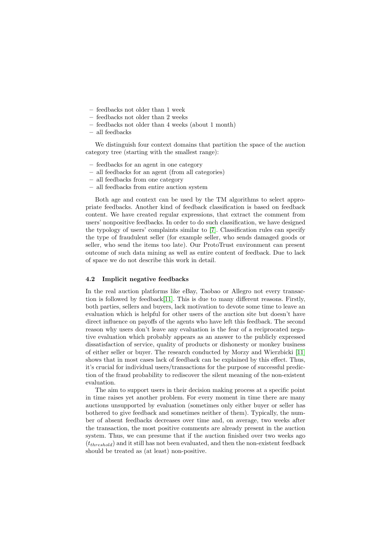- feedbacks not older than 1 week
- feedbacks not older than 2 weeks
- feedbacks not older than 4 weeks (about 1 month)
- all feedbacks

We distinguish four context domains that partition the space of the auction category tree (starting with the smallest range):

- feedbacks for an agent in one category
- all feedbacks for an agent (from all categories)
- all feedbacks from one category
- all feedbacks from entire auction system

Both age and context can be used by the TM algorithms to select appropriate feedbacks. Another kind of feedback classification is based on feedback content. We have created regular expressions, that extract the comment from users' nonpositive feedbacks. In order to do such classification, we have designed the typology of users' complaints similar to [\[7\]](#page-12-6). Classification rules can specify the type of fraudulent seller (for example seller, who sends damaged goods or seller, who send the items too late). Our ProtoTrust environment can present outcome of such data mining as well as entire content of feedback. Due to lack of space we do not describe this work in detail.

#### 4.2 Implicit negative feedbacks

In the real auction platforms like eBay, Taobao or Allegro not every transaction is followed by feedback[\[11\]](#page-13-0). This is due to many different reasons. Firstly, both parties, sellers and buyers, lack motivation to devote some time to leave an evaluation which is helpful for other users of the auction site but doesn't have direct influence on payoffs of the agents who have left this feedback. The second reason why users don't leave any evaluation is the fear of a reciprocated negative evaluation which probably appears as an answer to the publicly expressed dissatisfaction of service, quality of products or dishonesty or monkey business of either seller or buyer. The research conducted by Morzy and Wierzbicki [\[11\]](#page-13-0) shows that in most cases lack of feedback can be explained by this effect. Thus, it's crucial for individual users/transactions for the purpose of successful prediction of the fraud probability to rediscover the silent meaning of the non-existent evaluation.

The aim to support users in their decision making process at a specific point in time raises yet another problem. For every moment in time there are many auctions unsupported by evaluation (sometimes only either buyer or seller has bothered to give feedback and sometimes neither of them). Typically, the number of absent feedbacks decreases over time and, on average, two weeks after the transaction, the most positive comments are already present in the auction system. Thus, we can presume that if the auction finished over two weeks ago  $(t_{threshold})$  and it still has not been evaluated, and then the non-existent feedback should be treated as (at least) non-positive.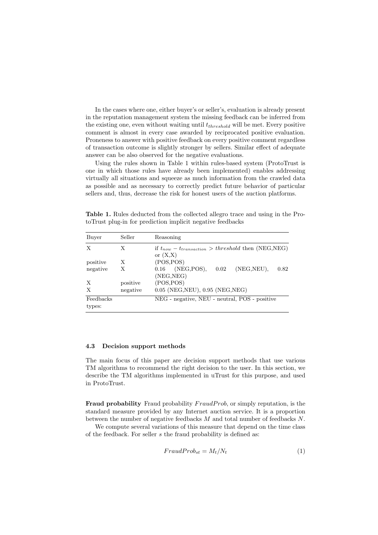In the cases where one, either buyer's or seller's, evaluation is already present in the reputation management system the missing feedback can be inferred from the existing one, even without waiting until  $t_{threshold}$  will be met. Every positive comment is almost in every case awarded by reciprocated positive evaluation. Proneness to answer with positive feedback on every positive comment regardless of transaction outcome is slightly stronger by sellers. Similar effect of adequate answer can be also observed for the negative evaluations.

Using the rules shown in Table 1 within rules-based system (ProtoTrust is one in which those rules have already been implemented) enables addressing virtually all situations and squeeze as much information from the crawled data as possible and as necessary to correctly predict future behavior of particular sellers and, thus, decrease the risk for honest users of the auction platforms.

| Buyer                     | Seller   | Reasoning                                                               |  |  |  |  |  |
|---------------------------|----------|-------------------------------------------------------------------------|--|--|--|--|--|
| $\mathbf{x}$              | X        | if $t_{now} - t_{transaction} > threshold$ then (NEG,NEG)<br>or $(X,X)$ |  |  |  |  |  |
| positive                  | Х        | (POS,POS)                                                               |  |  |  |  |  |
| negative                  | X        | $0.16$ (NEG, POS),<br>(NEG,NEU).<br>0.02<br>0.82<br>(NEG,NEG)           |  |  |  |  |  |
| X                         | positive | (POS,POS)                                                               |  |  |  |  |  |
| $\boldsymbol{\mathrm{X}}$ | negative | 0.05 (NEG, NEU), 0.95 (NEG, NEG)                                        |  |  |  |  |  |
| Feedbacks<br>types:       |          | NEG - negative, NEU - neutral, POS - positive                           |  |  |  |  |  |

Table 1. Rules deducted from the collected allegro trace and using in the ProtoTrust plug-in for prediction implicit negative feedbacks

## 4.3 Decision support methods

The main focus of this paper are decision support methods that use various TM algorithms to recommend the right decision to the user. In this section, we describe the TM algorithms implemented in uTrust for this purpose, and used in ProtoTrust.

Fraud probability Fraud probability  $FraudProb$ , or simply reputation, is the standard measure provided by any Internet auction service. It is a proportion between the number of negative feedbacks M and total number of feedbacks N.

We compute several variations of this measure that depend on the time class of the feedback. For seller  $s$  the fraud probability is defined as:

$$
FraudProb_{st} = M_t / N_t \tag{1}
$$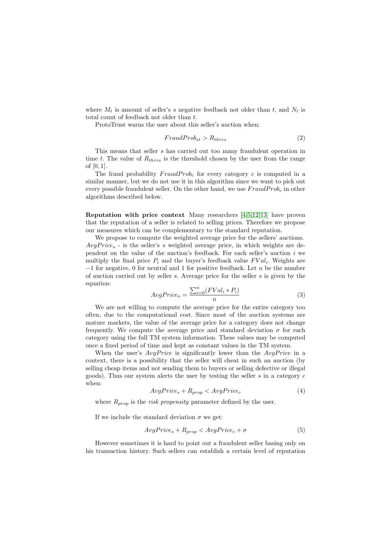where  $M_t$  is amount of seller's s negative feedback not older than t, and  $N_t$  is total count of feedback not older than t.

ProtoTrust warns the user about this seller's auction when:

$$
FraudProb_{st} > R_{thres}
$$
\n<sup>(2)</sup>

This means that seller s has carried out too many fraudulent operation in time t. The value of  $R_{thres}$  is the threshold chosen by the user from the range of [0, 1].

The fraud probability  $FraudProb<sub>c</sub>$  for every category c is computed in a similar manner, but we do not use it in this algorithm since we want to pick out every possible fraudulent seller. On the other hand, we use  $FraudProb<sub>c</sub>$  in other algorithms described below.

**Reputation with price context** Many researchers  $[4,5,12,13]$  $[4,5,12,13]$  $[4,5,12,13]$  $[4,5,12,13]$  have proven that the reputation of a seller is related to selling prices. Therefore we propose our measures which can be complementary to the standard reputation.

We propose to compute the weighted average price for the sellers' auctions.  $AvgPrice<sub>s</sub>$  - is the seller's s weighted average price, in which weights are dependent on the value of the auction's feedback. For each seller's auction  $i$  we multiply the final price  $P_i$  and the buyer's feedback value  $FVal_i$ . Weights are  $-1$  for negative, 0 for neutral and 1 for positive feedback. Let n be the number of auction carried out by seller  $s$ . Average price for the seller  $s$  is given by the equation:

$$
AvgPrice_s = \frac{\sum_{i=0}^{n} (FVal_i * P_i)}{n}
$$
\n(3)

We are not willing to compute the average price for the entire category too often, due to the computational cost. Since most of the auction systems are mature markets, the value of the average price for a category does not change frequently. We compute the average price and standard deviation  $\sigma$  for each category using the full TM system information. These values may be computed once a fixed period of time and kept as constant values in the TM system.

When the user's  $AvqPrice$  is significantly lower than the  $AvgPrice$  in a context, there is a possibility that the seller will cheat in such an auction (by selling cheap items and not sending them to buyers or selling defective or illegal goods). Thus our system alerts the user by testing the seller  $s$  in a category  $c$ when:

$$
AvgPrice_s + R_{prop} < AvgPrice_c \tag{4}
$$

where  $R_{prop}$  is the *risk propensity* parameter defined by the user.

If we include the standard deviation  $\sigma$  we get:

$$
AvgPrice_{s} + R_{prop} < AvgPrice_{c} + \sigma \tag{5}
$$

However sometimes it is hard to point out a fraudulent seller basing only on his transaction history. Such sellers can establish a certain level of reputation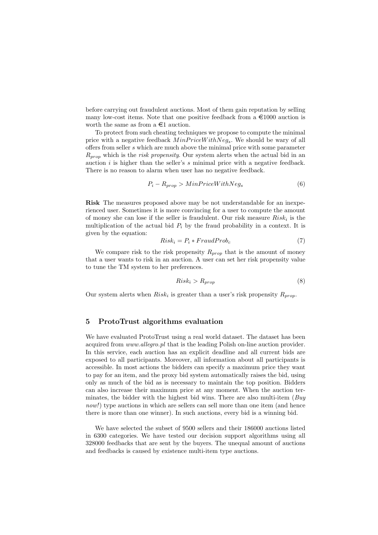before carrying out fraudulent auctions. Most of them gain reputation by selling many low-cost items. Note that one positive feedback from a  $\epsilon$ 1000 auction is worth the same as from a  $\in$ 1 auction.

To protect from such cheating techniques we propose to compute the minimal price with a negative feedback  $MinPriceWithNeg_s$ . We should be wary of all offers from seller s which are much above the minimal price with some parameter  $R_{prop}$  which is the *risk propensity*. Our system alerts when the actual bid in an auction  $i$  is higher than the seller's  $s$  minimal price with a negative feedback. There is no reason to alarm when user has no negative feedback.

$$
P_i - R_{prop} > MinPriceWithNeg_s
$$
 (6)

Risk The measures proposed above may be not understandable for an inexperienced user. Sometimes it is more convincing for a user to compute the amount of money she can lose if the seller is fraudulent. Our risk measure  $Risk_i$  is the multiplication of the actual bid  $P_i$  by the fraud probability in a context. It is given by the equation:

$$
Risk_i = P_i * FraudProb_c \tag{7}
$$

We compare risk to the risk propensity  $R_{prop}$  that is the amount of money that a user wants to risk in an auction. A user can set her risk propensity value to tune the TM system to her preferences.

$$
Risk_i > R_{prop} \tag{8}
$$

Our system alerts when  $Risk_i$  is greater than a user's risk propensity  $R_{prop}$ .

### 5 ProtoTrust algorithms evaluation

We have evaluated ProtoTrust using a real world dataset. The dataset has been acquired from www.allegro.pl that is the leading Polish on-line auction provider. In this service, each auction has an explicit deadline and all current bids are exposed to all participants. Moreover, all information about all participants is accessible. In most actions the bidders can specify a maximum price they want to pay for an item, and the proxy bid system automatically raises the bid, using only as much of the bid as is necessary to maintain the top position. Bidders can also increase their maximum price at any moment. When the auction terminates, the bidder with the highest bid wins. There are also multi-item  $(Buy)$ now!) type auctions in which are sellers can sell more than one item (and hence there is more than one winner). In such auctions, every bid is a winning bid.

We have selected the subset of 9500 sellers and their 186000 auctions listed in 6300 categories. We have tested our decision support algorithms using all 328000 feedbacks that are sent by the buyers. The unequal amount of auctions and feedbacks is caused by existence multi-item type auctions.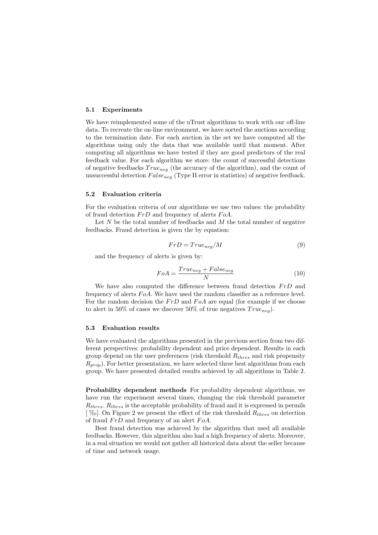#### 5.1 Experiments

We have reimplemented some of the uTrust algorithms to work with our off-line data. To recreate the on-line environment, we have sorted the auctions according to the termination date. For each auction in the set we have computed all the algorithms using only the data that was available until that moment. After computing all algorithms we have tested if they are good predictors of the real feedback value. For each algorithm we store: the count of successful detections of negative feedbacks  $True_{neg}$  (the accuracy of the algorithm), and the count of unsuccessful detection  $False_{neg}$  (Type II error in statistics) of negative feedback.

#### 5.2 Evaluation criteria

For the evaluation criteria of our algorithms we use two values: the probability of fraud detection FrD and frequency of alerts FoA.

Let  $N$  be the total number of feedbacks and  $M$  the total number of negative feedbacks. Fraud detection is given the by equation:

$$
FrD = True_{neg}/M
$$
\n(9)

and the frequency of alerts is given by:

$$
FoA = \frac{True_{neg} + False_{neg}}{N}
$$
\n(10)

We have also computed the difference between fraud detection  $FrD$  and frequency of alerts FoA. We have used the random classifier as a reference level. For the random decision the  $FrD$  and  $FoA$  are equal (for example if we choose to alert in 50% of cases we discover 50% of true negatives  $True_{neq}$ ).

#### 5.3 Evaluation results

We have evaluated the algorithms presented in the previous section from two different perspectives: probability dependent and price dependent. Results in each group depend on the user preferences (risk threshold  $R_{thres}$  and risk propensity  $R_{prop}$ ). For better presentation, we have selected three best algorithms from each group. We have presented detailed results achieved by all algorithms in Table 2.

Probability dependent methods For probability dependent algorithms, we have run the experiment several times, changing the risk threshold parameter  $R_{thres}$ .  $R_{thres}$  is the acceptable probability of fraud and it is expressed in permils  $\lceil \frac{\%}{\%} \rceil$ . On Figure 2 we present the effect of the risk threshold  $R_{thres}$  on detection of fraud FrD and frequency of an alert FoA.

Best fraud detection was achieved by the algorithm that used all available feedbacks. However, this algorithm also had a high frequency of alerts. Moreover, in a real situation we would not gather all historical data about the seller because of time and network usage.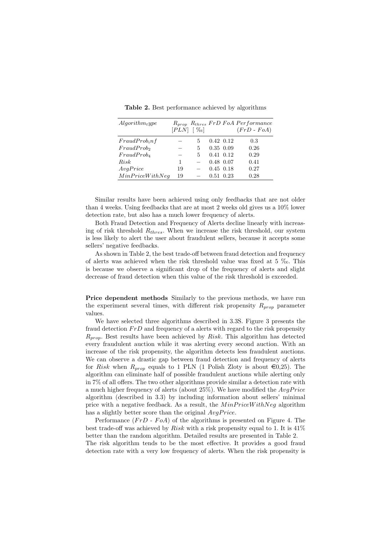| $Algorithm_t$             | $[PLN]$ $[\%_0]$ |   |               | $R_{prop}$ $R_{thres}$ FrD FoA Performance<br>$(FrD - FoA)$ |
|---------------------------|------------------|---|---------------|-------------------------------------------------------------|
| FraudProb <sub>i</sub> nf |                  | 5 | $0.42$ $0.12$ | 0.3                                                         |
| FraudProb <sub>2</sub>    |                  | 5 | $0.35$ $0.09$ | 0.26                                                        |
| FraudProb <sub>4</sub>    |                  | 5 | $0.41$ $0.12$ | 0.29                                                        |
| Risk                      | 1                |   | 0.48 0.07     | 0.41                                                        |
| AvgPrice                  | 19               |   | $0.45$ $0.18$ | 0.27                                                        |
| MinPriceWithNeq           | 19               |   | $0.51$ $0.23$ | 0.28                                                        |

Table 2. Best performance achieved by algorithms

Similar results have been achieved using only feedbacks that are not older than 4 weeks. Using feedbacks that are at most 2 weeks old gives us a 10% lower detection rate, but also has a much lower frequency of alerts.

Both Fraud Detection and Frequency of Alerts decline linearly with increasing of risk threshold  $R_{thres}$ . When we increase the risk threshold, our system is less likely to alert the user about fraudulent sellers, because it accepts some sellers' negative feedbacks.

As shown in Table 2, the best trade-off between fraud detection and frequency of alerts was achieved when the risk threshold value was fixed at 5 ‰. This is because we observe a significant drop of the frequency of alerts and slight decrease of fraud detection when this value of the risk threshold is exceeded.

Price dependent methods Similarly to the previous methods, we have run the experiment several times, with different risk propensity  $R_{prop}$  parameter values.

We have selected three algorithms described in 3.3S. Figure 3 presents the fraud detection  $FrD$  and frequency of a alerts with regard to the risk propensity  $R_{prop}$ . Best results have been achieved by Risk. This algorithm has detected every fraudulent auction while it was alerting every second auction. With an increase of the risk propensity, the algorithm detects less fraudulent auctions. We can observe a drastic gap between fraud detection and frequency of alerts for Risk when  $R_{prop}$  equals to 1 PLN (1 Polish Zloty is about  $\epsilon_{0,25}$ ). The algorithm can eliminate half of possible fraudulent auctions while alerting only in 7% of all offers. The two other algorithms provide similar a detection rate with a much higher frequency of alerts (about  $25\%$ ). We have modified the  $AvgPrice$ algorithm (described in 3.3) by including information about sellers' minimal price with a negative feedback. As a result, the  $MinPriceWithNeg$  algorithm has a slightly better score than the original  $AvgPrice$ .

Performance  $(FrD - FoA)$  of the algorithms is presented on Figure 4. The best trade-off was achieved by Risk with a risk propensity equal to 1. It is  $41\%$ better than the random algorithm. Detailed results are presented in Table 2. The risk algorithm tends to be the most effective. It provides a good fraud detection rate with a very low frequency of alerts. When the risk propensity is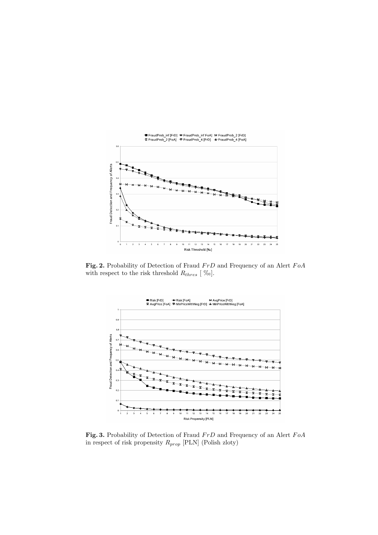

Fig. 2. Probability of Detection of Fraud  $FrD$  and Frequency of an Alert  $FoA$ with respect to the risk threshold  $R_{thres}$  [  $\%$  o].



Fig. 3. Probability of Detection of Fraud  $FrD$  and Frequency of an Alert  $FoA$ in respect of risk propensity  $R_{prop}$  [PLN] (Polish zloty)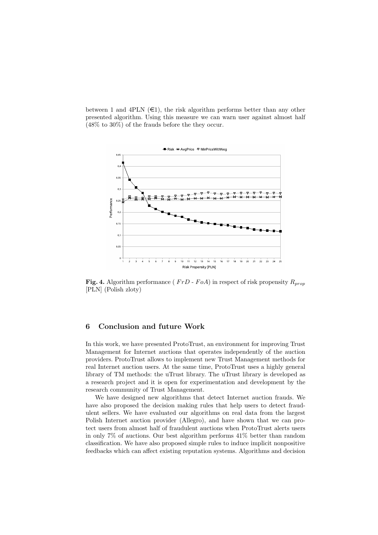between 1 and 4PLN  $(\epsilon_1)$ , the risk algorithm performs better than any other presented algorithm. Using this measure we can warn user against almost half (48% to 30%) of the frauds before the they occur.



Fig. 4. Algorithm performance ( $FrD - FoA$ ) in respect of risk propensity  $R_{nron}$ [PLN] (Polish zloty)

## 6 Conclusion and future Work

In this work, we have presented ProtoTrust, an environment for improving Trust Management for Internet auctions that operates independently of the auction providers. ProtoTrust allows to implement new Trust Management methods for real Internet auction users. At the same time, ProtoTrust uses a highly general library of TM methods: the uTrust library. The uTrust library is developed as a research project and it is open for experimentation and development by the research community of Trust Management.

We have designed new algorithms that detect Internet auction frauds. We have also proposed the decision making rules that help users to detect fraudulent sellers. We have evaluated our algorithms on real data from the largest Polish Internet auction provider (Allegro), and have shown that we can protect users from almost half of fraudulent auctions when ProtoTrust alerts users in only 7% of auctions. Our best algorithm performs 41% better than random classification. We have also proposed simple rules to induce implicit nonpositive feedbacks which can affect existing reputation systems. Algorithms and decision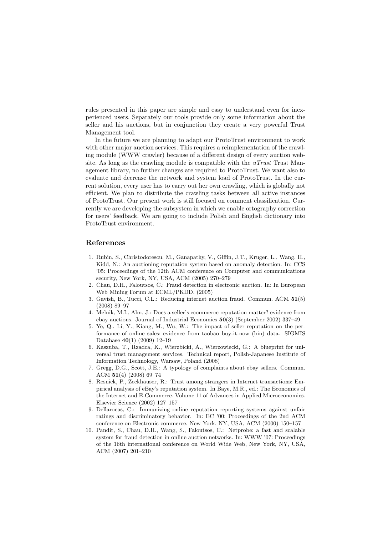rules presented in this paper are simple and easy to understand even for inexperienced users. Separately our tools provide only some information about the seller and his auctions, but in conjunction they create a very powerful Trust Management tool.

In the future we are planning to adapt our ProtoTrust environment to work with other major auction services. This requires a reimplementation of the crawling module (WWW crawler) because of a different design of every auction website. As long as the crawling module is compatible with the  $uTrust$  Trust Management library, no further changes are required to ProtoTrust. We want also to evaluate and decrease the network and system load of ProtoTrust. In the current solution, every user has to carry out her own crawling, which is globally not efficient. We plan to distribute the crawling tasks between all active instances of ProtoTrust. Our present work is still focused on comment classification. Currently we are developing the subsystem in which we enable ortography correction for users' feedback. We are going to include Polish and English dictionary into ProtoTrust environment.

## <span id="page-12-0"></span>References

- 1. Rubin, S., Christodorescu, M., Ganapathy, V., Giffin, J.T., Kruger, L., Wang, H., Kidd, N.: An auctioning reputation system based on anomaly detection. In: CCS '05: Proceedings of the 12th ACM conference on Computer and communications security, New York, NY, USA, ACM (2005) 270–279
- <span id="page-12-1"></span>2. Chau, D.H., Faloutsos, C.: Fraud detection in electronic auction. In: In European Web Mining Forum at ECML/PKDD. (2005)
- <span id="page-12-2"></span>3. Gavish, B., Tucci, C.L.: Reducing internet auction fraud. Commun. ACM 51(5) (2008) 89–97
- <span id="page-12-3"></span>4. Melnik, M.I., Alm, J.: Does a seller's ecommerce reputation matter? evidence from ebay auctions. Journal of Industrial Economics 50(3) (September 2002) 337–49
- <span id="page-12-4"></span>5. Ye, Q., Li, Y., Kiang, M., Wu, W.: The impact of seller reputation on the performance of online sales: evidence from taobao buy-it-now (bin) data. SIGMIS Database 40(1) (2009) 12–19
- <span id="page-12-5"></span>6. Kaszuba, T., Rzadca, K., Wierzbicki, A., Wierzowiecki, G.: A blueprint for universal trust management services. Technical report, Polish-Japanese Institute of Information Technology, Warsaw, Poland (2008)
- <span id="page-12-6"></span>7. Gregg, D.G., Scott, J.E.: A typology of complaints about ebay sellers. Commun. ACM 51(4) (2008) 69–74
- <span id="page-12-7"></span>8. Resnick, P., Zeckhauser, R.: Trust among strangers in Internet transactions: Empirical analysis of eBay's reputation system. In Baye, M.R., ed.: The Economics of the Internet and E-Commerce. Volume 11 of Advances in Applied Microeconomics. Elsevier Science (2002) 127–157
- <span id="page-12-8"></span>9. Dellarocas, C.: Immunizing online reputation reporting systems against unfair ratings and discriminatory behavior. In: EC '00: Proceedings of the 2nd ACM conference on Electronic commerce, New York, NY, USA, ACM (2000) 150–157
- <span id="page-12-9"></span>10. Pandit, S., Chau, D.H., Wang, S., Faloutsos, C.: Netprobe: a fast and scalable system for fraud detection in online auction networks. In: WWW '07: Proceedings of the 16th international conference on World Wide Web, New York, NY, USA, ACM (2007) 201–210